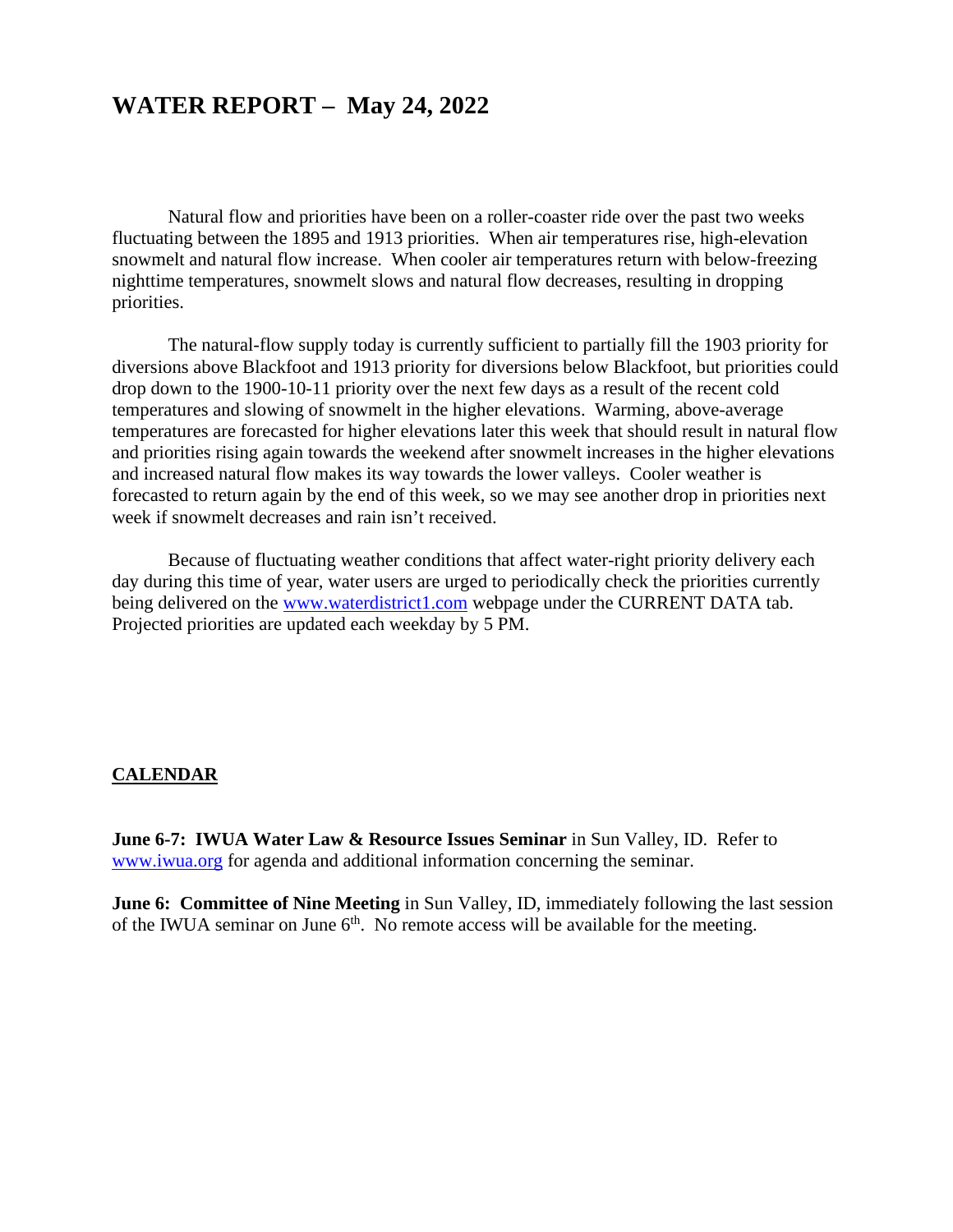### **WATER REPORT – May 24, 2022**

Natural flow and priorities have been on a roller-coaster ride over the past two weeks fluctuating between the 1895 and 1913 priorities. When air temperatures rise, high-elevation snowmelt and natural flow increase. When cooler air temperatures return with below-freezing nighttime temperatures, snowmelt slows and natural flow decreases, resulting in dropping priorities.

The natural-flow supply today is currently sufficient to partially fill the 1903 priority for diversions above Blackfoot and 1913 priority for diversions below Blackfoot, but priorities could drop down to the 1900-10-11 priority over the next few days as a result of the recent cold temperatures and slowing of snowmelt in the higher elevations. Warming, above-average temperatures are forecasted for higher elevations later this week that should result in natural flow and priorities rising again towards the weekend after snowmelt increases in the higher elevations and increased natural flow makes its way towards the lower valleys. Cooler weather is forecasted to return again by the end of this week, so we may see another drop in priorities next week if snowmelt decreases and rain isn't received.

Because of fluctuating weather conditions that affect water-right priority delivery each day during this time of year, water users are urged to periodically check the priorities currently being delivered on the [www.waterdistrict1.com](http://www.waterdistrict1.com/) webpage under the CURRENT DATA tab. Projected priorities are updated each weekday by 5 PM.

#### **CALENDAR**

**June 6-7: IWUA Water Law & Resource Issues Seminar** in Sun Valley, ID. Refer to [www.iwua.org](http://www.iwua.org/) for agenda and additional information concerning the seminar.

**June 6: Committee of Nine Meeting** in Sun Valley, ID, immediately following the last session of the IWUA seminar on June  $6<sup>th</sup>$ . No remote access will be available for the meeting.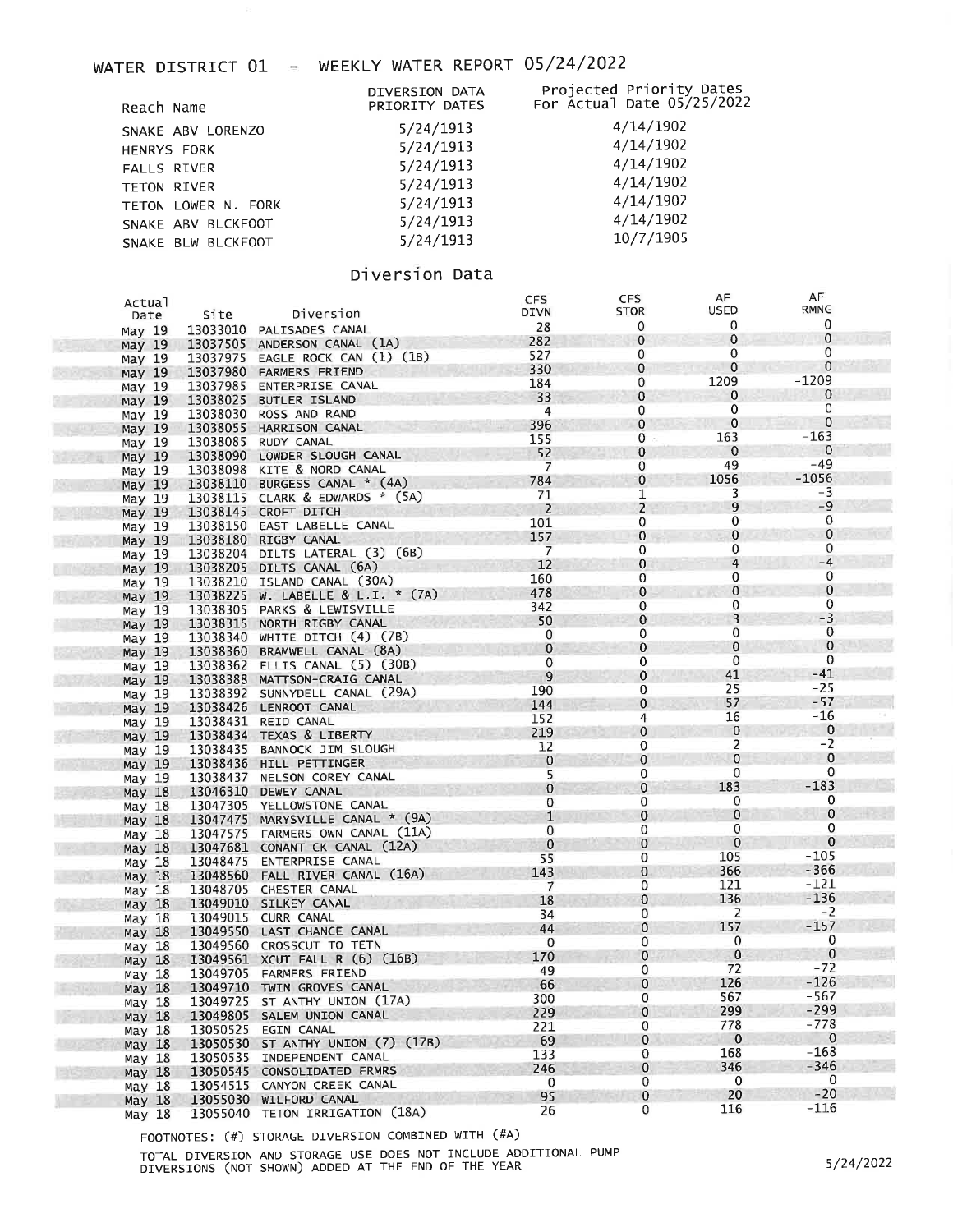### WATER DISTRICT 01 - WEEKLY WATER REPORT 05/24/2022

|                     | DIVERSION DATA | Projected Priority Dates<br>For Actual Date 05/25/2022 |
|---------------------|----------------|--------------------------------------------------------|
| Reach Name          | PRIORITY DATES |                                                        |
| SNAKE ABV LORENZO   | 5/24/1913      | 4/14/1902                                              |
| <b>HENRYS FORK</b>  | 5/24/1913      | 4/14/1902                                              |
| <b>FALLS RIVER</b>  | 5/24/1913      | 4/14/1902                                              |
| <b>TETON RIVER</b>  | 5/24/1913      | 4/14/1902                                              |
| TETON LOWER N. FORK | 5/24/1913      | 4/14/1902                                              |
| SNAKE ABV BLCKFOOT  | 5/24/1913      | 4/14/1902                                              |
| SNAKE BLW BLCKFOOT  | 5/24/1913      | 10/7/1905                                              |
|                     |                |                                                        |

### Diversion Data

| Actual            |          |                                   | <b>CFS</b>     | <b>CFS</b>     | AF                       | AF             |
|-------------------|----------|-----------------------------------|----------------|----------------|--------------------------|----------------|
| Date              | Site     | Diversion                         | <b>DIVN</b>    | STOR           | USED                     | RMNG           |
| May 19            |          | 13033010 PALISADES CANAL          | 28             | 0              | 0                        | 0              |
|                   |          | 13037505 ANDERSON CANAL (1A)      | 282            | $\bf{0}$       | $\mathbf{0}$             | $\mathbf 0$    |
| May 19            |          | 13037975 EAGLE ROCK CAN (1) (1B)  | 527            | 0              | 0                        | 0              |
| May 19            |          |                                   | 330            | $\mathbf 0$    | $\mathbf{0}$             | 0              |
| May 19            |          | 13037980 FARMERS FRIEND           | 184            | 0              | 1209                     | -1209          |
| May 19            |          | 13037985 ENTERPRISE CANAL         | 33             | $\bf{0}$       | $\mathbf{0}$             | 0              |
| May 19            | 13038025 | BUTLER ISLAND                     |                | 0              | $\mathbf{0}$             | 0              |
| May 19            | 13038030 | ROSS AND RAND                     | 4              | $\mathbf{0}$   | $\overline{0}$           | $\mathbf 0$    |
| May 19            | 13038055 | HARRISON CANAL                    | 396            |                | 163                      | $-163$         |
| May 19            |          | 13038085 RUDY CANAL               | 155            | 0              |                          | $\mathbf 0$    |
| May $19$          |          | 13038090 LOWDER SLOUGH CANAL      | 52             | $\mathbf 0$    | $\mathbf{0}$             | $-49$          |
| May 19            |          | 13038098 KITE & NORD CANAL        | $\overline{7}$ | 0              | 49                       |                |
| May 19            |          | 13038110 BURGESS CANAL * (4A)     | 784            | $\mathbf{0}$   | 1056                     | $-1056$        |
| May 19            |          | 13038115 CLARK & EDWARDS * (5A)   | 71             | 1              | 3                        | -3             |
| May 19            |          | 13038145 CROFT DITCH              | $\overline{2}$ | $\overline{2}$ | 9                        | $-9$           |
| May 19            |          | 13038150 EAST LABELLE CANAL       | 101            | 0              | 0                        | 0              |
| May 19            |          | 13038180 RIGBY CANAL              | 157            | 0              | $\mathbf{0}$             | $\overline{0}$ |
| May 19            |          | 13038204 DILTS LATERAL (3) (6B)   | $\overline{7}$ | 0              | 0                        | $\mathbf{0}$   |
| May 19            |          | 13038205 DILTS CANAL (6A)         | 12             | $\mathbf{0}$   | $\overline{4}$           | $-4$           |
| May 19            |          | 13038210 ISLAND CANAL (30A)       | 160            | 0              | 0                        | 0              |
| May $19$          |          | 13038225 W. LABELLE & L.I. * (7A) | 478            | $\mathbf 0$    | 0                        | $\bf{0}$       |
|                   |          | 13038305 PARKS & LEWISVILLE       | 342            | 0              | 0                        | 0              |
| May 19            |          | 13038315 NORTH RIGBY CANAL        | 50             | $\mathbf 0$    | 3                        | $-3$           |
| May 19            |          | 13038340 WHITE DITCH (4) (7B)     | 0              | 0              | 0                        | $\mathbf 0$    |
| May 19            |          |                                   | $\bf{0}$       | $\mathbf 0$    | 0                        | $\mathbf 0$    |
| May <sub>19</sub> |          | 13038360 BRAMWELL CANAL (8A)      | 0              | $\mathbf{0}$   | 0                        | 0              |
| May 19            |          | 13038362 ELLIS CANAL (5) (30B)    | 9              | $\mathbf 0$    | 41                       | $-41$          |
| May <sub>19</sub> |          | 13038388 MATTSON-CRAIG CANAL      | 190            | 0              | 25                       | $-25$          |
| May 19            |          | 13038392 SUNNYDELL CANAL (29A)    |                | $\mathbf{0}$   | 57                       | $-57$          |
| May 19            |          | 13038426 LENROOT CANAL            | 144            | 4              | 16                       | -16            |
| May 19            |          | 13038431 REID CANAL               | 152            |                | $\bf{0}$                 | $\mathbf{0}$   |
| May 19            |          | 13038434 TEXAS & LIBERTY          | 219            | $\mathbf{0}$   |                          | $-2$           |
| May 19            |          | 13038435 BANNOCK JIM SLOUGH       | 12             | 0              | $\overline{2}$           | $\mathbf{0}$   |
| May 19            |          | 13038436 HILL PETTINGER           | $\mathbf 0$    | $\mathbf{0}$   | $\mathbf 0$              |                |
| May 19            |          | 13038437 NELSON COREY CANAL       | 5              | $\mathbf{0}$   | 0                        | $\mathbf 0$    |
| May $18$          |          | 13046310 DEWEY CANAL              | $\mathbf{0}$   | $\mathbf{0}$   | 183                      | $-183$         |
| May 18            |          | 13047305 YELLOWSTONE CANAL        | 0              | $\mathbf{0}$   | 0                        | 0              |
| May $18$          |          | 13047475 MARYSVILLE CANAL * (9A)  | $\mathbf{1}$   | $\mathbf{0}$   | $\mathbf{0}$             | $\mathbf 0$    |
| May 18            |          | 13047575 FARMERS OWN CANAL (11A)  | $\mathbf 0$    | 0              | 0                        | 0              |
| May $18$          |          | 13047681 CONANT CK CANAL (12A)    | $\bf{0}$       | $\mathbf{0}$   | $\mathbf{0}$             | $\bf{0}$       |
| May 18            |          | 13048475 ENTERPRISE CANAL         | 55             | 0              | 105                      | $-105$         |
| May 18            |          | 13048560 FALL RIVER CANAL (16A)   | 143            | $\mathbf{0}$   | 366                      | $-366$         |
| May 18            |          | 13048705 CHESTER CANAL            | $\overline{7}$ | 0              | 121                      | -121           |
| May <sub>18</sub> |          | 13049010 SILKEY CANAL             | 18             | $\mathbf 0$    | 136                      | $-136$         |
|                   |          | 13049015 CURR CANAL               | 34             | 0              | $\mathsf{Z}$             | $-2$           |
| May 18            |          | 13049550 LAST CHANCE CANAL        | 44             | $\mathbf{0}$   | 157                      | $-157$         |
| May 18            |          |                                   | $\mathbf 0$    | 0              | 0                        | 0              |
| May 18            |          | 13049560 CROSSCUT TO TETN         | 170            | $\mathbf{0}$   | $\overline{\phantom{0}}$ | $\mathbf 0$    |
| May $18$          |          | 13049561 XCUT FALL R (6) (16B)    | 49             | 0              | 72                       | $-72$          |
| May 18            |          | 13049705 FARMERS FRIEND           | 66             | $\mathbf 0$    | 126                      | $-126$         |
| May 18            |          | 13049710 TWIN GROVES CANAL        |                | 0              | 567                      | $-567$         |
| May 18            |          | 13049725 ST ANTHY UNION (17A)     | 300            | $\mathbf 0$    | 299                      | $-299$         |
| May 18            |          | 13049805 SALEM UNION CANAL        | 229            |                |                          | $-778$         |
| May 18            |          | 13050525 EGIN CANAL               | 221            | 0              | 778                      | $\mathbf{0}$   |
| May <sub>18</sub> |          | 13050530 ST ANTHY UNION (7) (17B) | 69             | 0              | $\bf{0}$                 | $-168$         |
| May 18            |          | 13050535 INDEPENDENT CANAL        | 133            | 0              | 168                      |                |
| May <sub>18</sub> |          | 13050545 CONSOLIDATED FRMRS       | 246            | 0              | 346                      | $-346$         |
| May 18            |          | 13054515 CANYON CREEK CANAL       | $\mathbf 0$    | 0              | 0                        | $\mathbf{0}$   |
| May 18            |          | 13055030 WILFORD CANAL            | 95             | 0              | 20                       | $-20$          |
| May 18            |          | 13055040 TETON IRRIGATION (18A)   | 26             | 0              | 116                      | $-116$         |
|                   |          |                                   |                |                |                          |                |

FOOTNOTES: (#) STORAGE DIVERSION COMBINED WITH (#A)

TOTAL DIVERSION AND STORAGE USE DOES NOT INCLUDE ADDITIONAL PUMP<br>DIVERSIONS (NOT SHOWN) ADDED AT THE END OF THE YEAR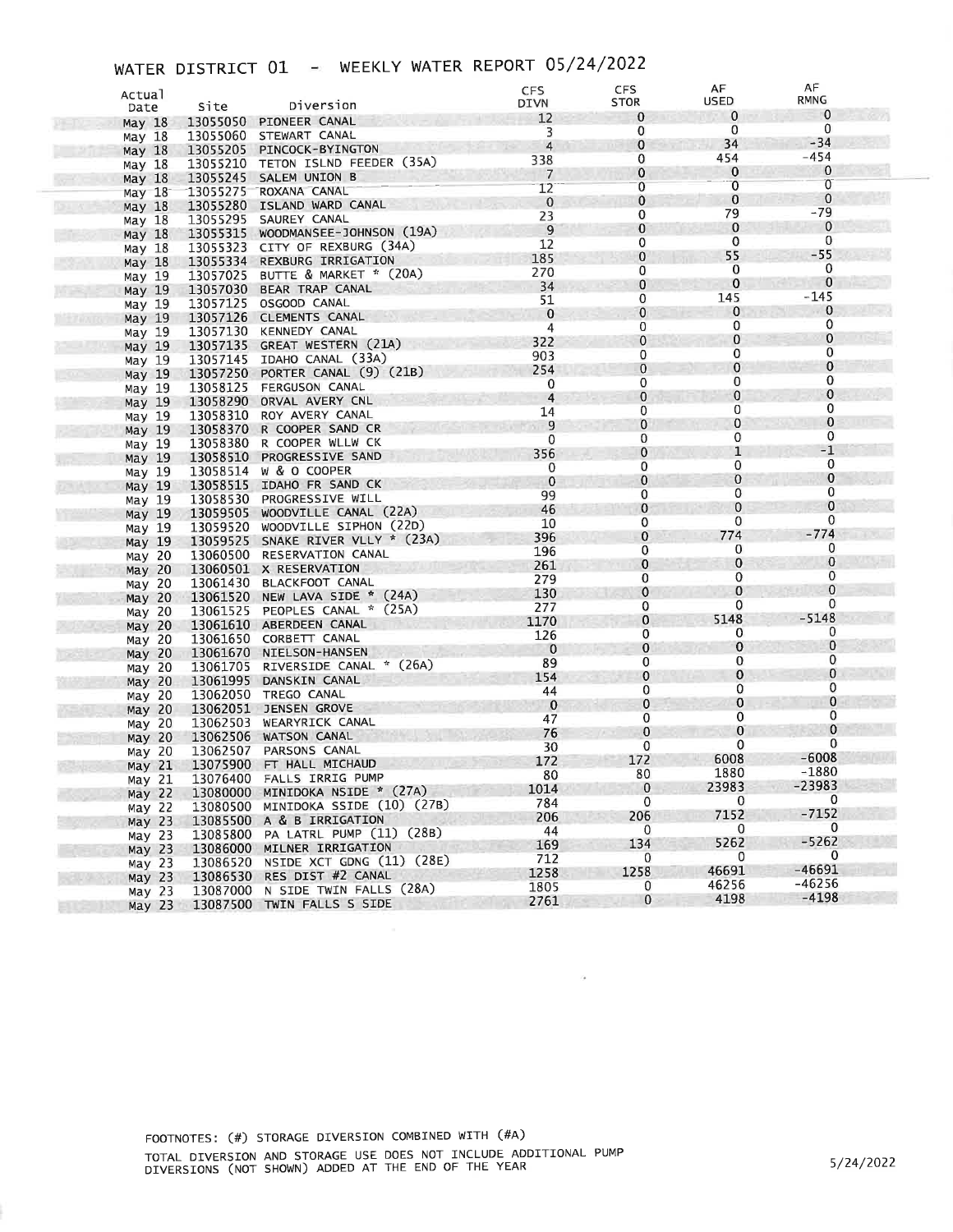# WATER DISTRICT 01 - WEEKLY WATER REPORT 05/24/2022

| Actual                                 |                      | Diversion                                                             | <b>CFS</b><br><b>DIVN</b> | <b>CFS</b><br><b>STOR</b> | AF<br>USED   | AF<br>RMNG  |  |
|----------------------------------------|----------------------|-----------------------------------------------------------------------|---------------------------|---------------------------|--------------|-------------|--|
| Date                                   | Site                 |                                                                       | 12                        | $\bf{0}$                  | 0            | $\mathbf 0$ |  |
| May $18$                               | 13055050             | PIONEER CANAL                                                         | 3                         | 0                         | 0            | 0           |  |
| May 18                                 |                      | 13055060 STEWART CANAL<br>PINCOCK-BYINGTON                            | $\overline{4}$            | 0                         | 34           | $-34$       |  |
| May $18$                               | 13055205             | 13055210 TETON ISLND FEEDER (35A)                                     | 338                       | 0                         | 454          | $-454$      |  |
| May 18                                 |                      | SALEM UNION B                                                         | $\overline{7}$            | 0                         | $\bf{0}$     | $\bf{0}$    |  |
| May 18                                 | 13055245             | ROXANA CANAL                                                          | 12                        | 0                         | 0            | 0           |  |
| May 18                                 | 13055275<br>13055280 | ISLAND WARD CANAL                                                     | $\mathbf 0$               | 0                         | $\mathbf 0$  | 0           |  |
| May $18$                               | 13055295             | SAUREY CANAL                                                          | 23                        | 0                         | 79           | $-79$       |  |
| May 18                                 | 13055315             | WOODMANSEE-JOHNSON (19A)                                              | $\overline{9}$            | $\bf{0}$                  | 0            | 0           |  |
| May $18$<br>May 18                     | 13055323             | CITY OF REXBURG (34A)                                                 | 12                        | 0                         | 0            | 0           |  |
| May 18                                 | 13055334             | REXBURG IRRIGATION                                                    | 185                       | 0                         | 55           | $-55$       |  |
| May 19                                 | 13057025             | BUTTE & MARKET * (20A)                                                | 270                       | 0                         | 0            | 0           |  |
| May 19                                 | 13057030             | BEAR TRAP CANAL                                                       | 34                        | 0                         | 0            | 0           |  |
| May 19                                 | 13057125             | OSGOOD CANAL                                                          | 51                        | 0                         | 145          | $-145$      |  |
| May 19                                 | 13057126             | CLEMENTS CANAL                                                        | $\mathbf 0$               | $\bf{0}$                  | 0            | 0           |  |
| May 19                                 | 13057130             | <b>KENNEDY CANAL</b>                                                  | 4                         | 0                         | 0            | 0           |  |
| May 19                                 | 13057135             | GREAT WESTERN (21A)                                                   | 322                       | $\mathbf 0$               | 0            | 0           |  |
| May 19                                 |                      | 13057145 IDAHO CANAL (33A)                                            | 903                       | 0                         | 0            | 0           |  |
| May 19                                 | 13057250             | PORTER CANAL (9) (21B)                                                | 254                       | $\mathbf 0$               | $\bf{0}$     | 0           |  |
| May 19                                 | 13058125             | FERGUSON CANAL                                                        | 0                         | $\mathbf 0$               | 0            | 0           |  |
| May 19                                 | 13058290             | ORVAL AVERY CNL                                                       | $\overline{4}$            | $\bf{0}$                  | $\mathbf 0$  | 0           |  |
| May 19                                 | 13058310             | ROY AVERY CANAL                                                       | 14                        | 0                         | 0            | 0           |  |
| May 19                                 | 13058370             | R COOPER SAND CR                                                      | 9                         | $\mathbf 0$               | 0            | 0           |  |
| May 19                                 | 13058380             | R COOPER WLLW CK                                                      | 0                         | 0                         | 0            | 0           |  |
| May 19                                 | 13058510             | PROGRESSIVE SAND                                                      | 356                       | 0                         | $\mathbf{1}$ | $-1$        |  |
| May 19                                 | 13058514             | W & O COOPER                                                          | 0                         | 0                         | 0            | 0           |  |
| May 19                                 | 13058515             | IDAHO FR SAND CK                                                      | $\bf{0}$                  | 0                         | 0            | $\bf{0}$    |  |
| May 19                                 |                      | 13058530 PROGRESSIVE WILL                                             | 99                        | 0                         | 0            | 0           |  |
| May $19$                               | 13059505             | WOODVILLE CANAL (22A)                                                 | 46                        | 0                         | 0            | 0           |  |
| May 19                                 |                      | 13059520 WOODVILLE SIPHON (22D)                                       | 10                        | 0                         | 0            | 0<br>$-774$ |  |
| May $19$                               | 13059525             | SNAKE RIVER VLLY * (23A)                                              | 396                       | 0                         | 774          | 0           |  |
| May 20                                 | 13060500             | RESERVATION CANAL                                                     | 196                       | 0                         | 0            | 0           |  |
| May $20$                               |                      | 13060501 X RESERVATION                                                | 261                       | 0                         | 0<br>0       | 0           |  |
| May 20                                 | 13061430             | <b>BLACKFOOT CANAL</b>                                                | 279                       | 0                         | 0            | 0           |  |
| May $20$                               | 13061520             | NEW LAVA SIDE * (24A)                                                 | 130                       | 0                         | 0            | 0           |  |
| May 20                                 | 13061525             | PEOPLES CANAL * (25A)                                                 | 277                       | 0                         | 5148         | $-5148$     |  |
| May $20$                               |                      | 13061610 ABERDEEN CANAL                                               | 1170                      | 0<br>0                    | 0            | 0           |  |
| May 20                                 | 13061650             | CORBETT CANAL                                                         | 126                       | 0                         | 0            | 0           |  |
| May $20$                               | 13061670             | NIELSON-HANSEN                                                        | $\mathbf 0$<br>89         | 0                         | 0            | 0           |  |
| May 20                                 | 13061705             | RIVERSIDE CANAL * (26A)                                               | 154                       | $\mathbf 0$               | 0            | 0           |  |
| May 20                                 | 13061995             | DANSKIN CANAL                                                         | 44                        | 0                         | 0            | 0           |  |
| May 20                                 | 13062050             | TREGO CANAL                                                           | $\bf{0}$                  | 0                         | 0            | 0           |  |
| May $20$                               | 13062051             | JENSEN GROVE                                                          | 47                        | 0                         | 0            | 0           |  |
| May 20                                 |                      | 13062503 WEARYRICK CANAL                                              | 76                        | $\bf{0}$                  | 0            | $\mathbf 0$ |  |
| May $20$                               |                      | 13062506 WATSON CANAL                                                 | 30                        | 0                         | 0            | $\mathbf 0$ |  |
| May 20                                 |                      | 13062507 PARSONS CANAL                                                | 172                       | 172                       | 6008         | $-6008$     |  |
| May 21                                 |                      | 13075900 FT HALL MICHAUD                                              | 80                        | 80                        | 1880         | $-1880$     |  |
| May 21                                 |                      | 13076400 FALLS IRRIG PUMP                                             | 1014                      | $\mathbf{0}$              | 23983        | $-23983$    |  |
| May 22                                 |                      | 13080000 MINIDOKA NSIDE * (27A)<br>13080500 MINIDOKA SSIDE (10) (27B) | 784                       | $\Omega$                  | $\mathbf{0}$ | 0           |  |
| May <sub>22</sub>                      |                      | 13085500 A & B IRRIGATION                                             | 206                       | 206                       | 7152         | $-7152$     |  |
| May <sub>23</sub>                      |                      | 13085800 PA LATRL PUMP (11) (28B)                                     | 44                        | 0                         | $\mathbf 0$  | $\mathbf 0$ |  |
| May <sub>23</sub>                      |                      | 13086000 MILNER IRRIGATION                                            | 169                       | 134                       | 5262         | $-5262$     |  |
| May <sub>23</sub>                      |                      | 13086520 NSIDE XCT GDNG (11) (28E)                                    | 712                       | 0                         | 0            | 0           |  |
| May <sub>23</sub>                      |                      | 13086530 RES DIST #2 CANAL                                            | 1258                      | 1258                      | 46691        | $-46691$    |  |
| May <sub>23</sub><br>May <sub>23</sub> |                      | 13087000 N SIDE TWIN FALLS (28A)                                      | 1805                      | 0                         | 46256        | $-46256$    |  |
|                                        |                      | 13087500 TWIN FALLS S SIDE                                            | 2761                      | 0                         | 4198         | $-4198$     |  |
| May 23                                 |                      |                                                                       |                           |                           |              |             |  |

 $\bar{\alpha}$